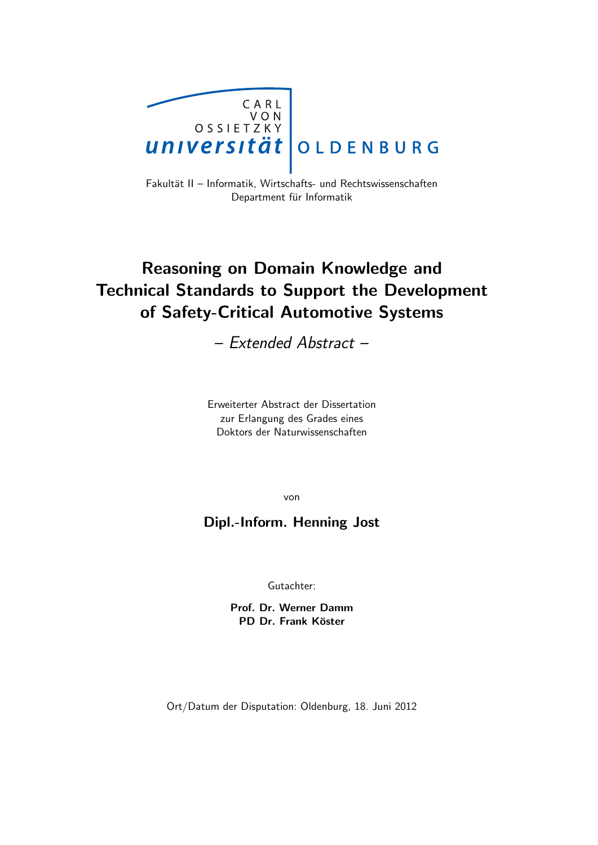

Fakultät II – Informatik, Wirtschafts- und Rechtswissenschaften Department für Informatik

# Reasoning on Domain Knowledge and Technical Standards to Support the Development of Safety-Critical Automotive Systems

– Extended Abstract –

Erweiterter Abstract der Dissertation zur Erlangung des Grades eines Doktors der Naturwissenschaften

von

#### Dipl.-Inform. Henning Jost

Gutachter:

Prof. Dr. Werner Damm PD Dr. Frank Köster

Ort/Datum der Disputation: Oldenburg, 18. Juni 2012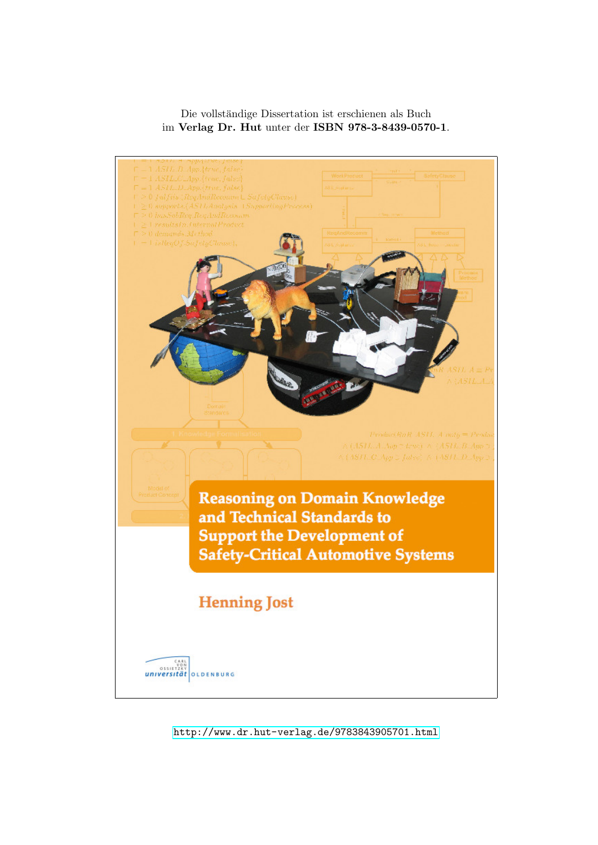Die vollständige Dissertation ist erschienen als Buch im Verlag Dr. Hut unter der ISBN 978-3-8439-0570-1.



<http://www.dr.hut-verlag.de/9783843905701.html>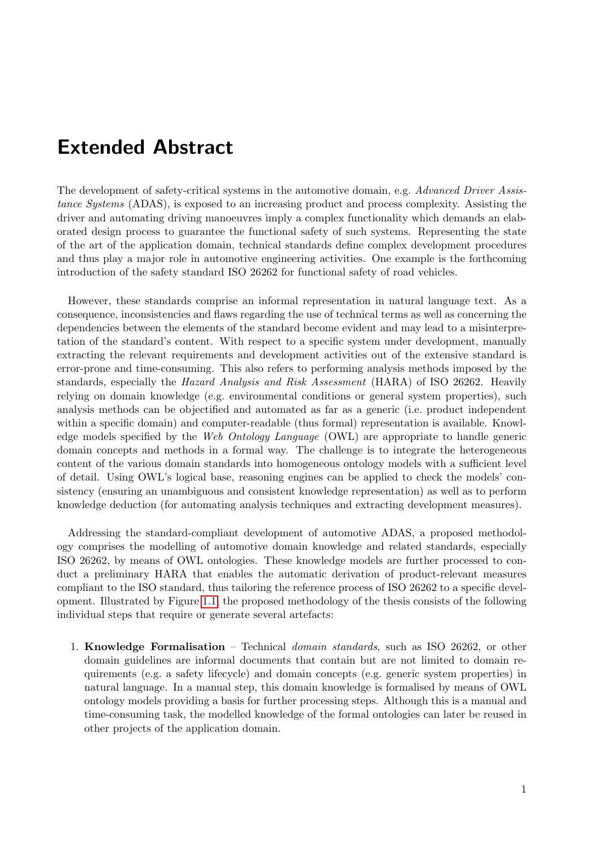### Extended Abstract

The development of safety-critical systems in the automotive domain, e.g. Advanced Driver Assistance Systems (ADAS), is exposed to an increasing product and process complexity. Assisting the driver and automating driving manoeuvres imply a complex functionality which demands an elaborated design process to guarantee the functional safety of such systems. Representing the state of the art of the application domain, technical standards define complex development procedures and thus play a major role in automotive engineering activities. One example is the forthcoming introduction of the safety standard ISO 26262 for functional safety of road vehicles.

However, these standards comprise an informal representation in natural language text. As a consequence, inconsistencies and flaws regarding the use of technical terms as well as concerning the dependencies between the elements of the standard become evident and may lead to a misinterpretation of the standard's content. With respect to a specific system under development, manually extracting the relevant requirements and development activities out of the extensive standard is error-prone and time-consuming. This also refers to performing analysis methods imposed by the standards, especially the Hazard Analysis and Risk Assessment (HARA) of ISO 26262. Heavily relying on domain knowledge (e.g. environmental conditions or general system properties), such analysis methods can be objectified and automated as far as a generic (i.e. product independent within a specific domain) and computer-readable (thus formal) representation is available. Knowledge models specified by the Web Ontology Language (OWL) are appropriate to handle generic domain concepts and methods in a formal way. The challenge is to integrate the heterogeneous content of the various domain standards into homogeneous ontology models with a sufficient level of detail. Using OWL's logical base, reasoning engines can be applied to check the models' consistency (ensuring an unambiguous and consistent knowledge representation) as well as to perform knowledge deduction (for automating analysis techniques and extracting development measures).

Addressing the standard-compliant development of automotive ADAS, a proposed methodology comprises the modelling of automotive domain knowledge and related standards, especially ISO 26262, by means of OWL ontologies. These knowledge models are further processed to conduct a preliminary HARA that enables the automatic derivation of product-relevant measures compliant to the ISO standard, thus tailoring the reference process of ISO 26262 to a specific development. Illustrated by Figure [1.1,](#page-3-0) the proposed methodology of the thesis consists of the following individual steps that require or generate several artefacts:

1. Knowledge Formalisation – Technical domain standards, such as ISO 26262, or other domain guidelines are informal documents that contain but are not limited to domain requirements (e.g. a safety lifecycle) and domain concepts (e.g. generic system properties) in natural language. In a manual step, this domain knowledge is formalised by means of OWL ontology models providing a basis for further processing steps. Although this is a manual and time-consuming task, the modelled knowledge of the formal ontologies can later be reused in other projects of the application domain.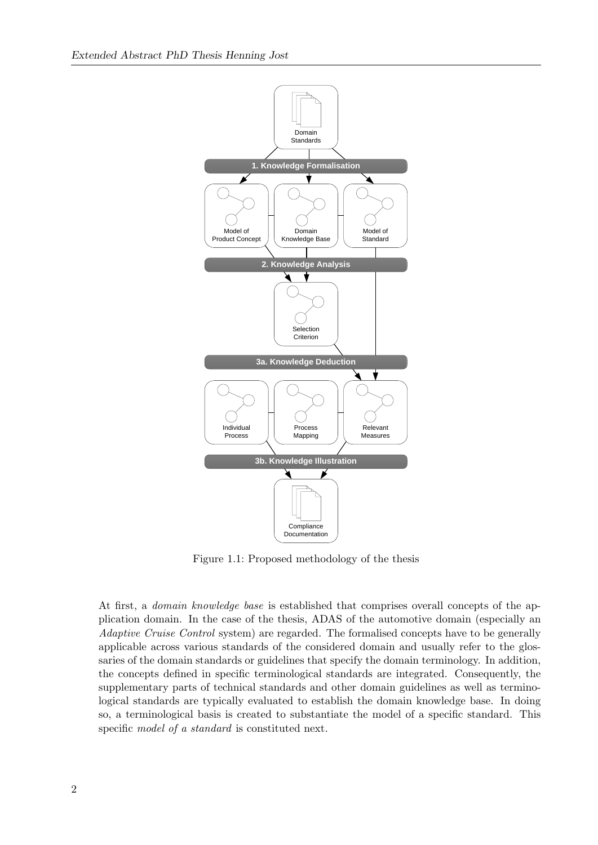<span id="page-3-0"></span>

Figure 1.1: Proposed methodology of the thesis

At first, a domain knowledge base is established that comprises overall concepts of the application domain. In the case of the thesis, ADAS of the automotive domain (especially an Adaptive Cruise Control system) are regarded. The formalised concepts have to be generally applicable across various standards of the considered domain and usually refer to the glossaries of the domain standards or guidelines that specify the domain terminology. In addition, the concepts defined in specific terminological standards are integrated. Consequently, the supplementary parts of technical standards and other domain guidelines as well as terminological standards are typically evaluated to establish the domain knowledge base. In doing so, a terminological basis is created to substantiate the model of a specific standard. This specific model of a standard is constituted next.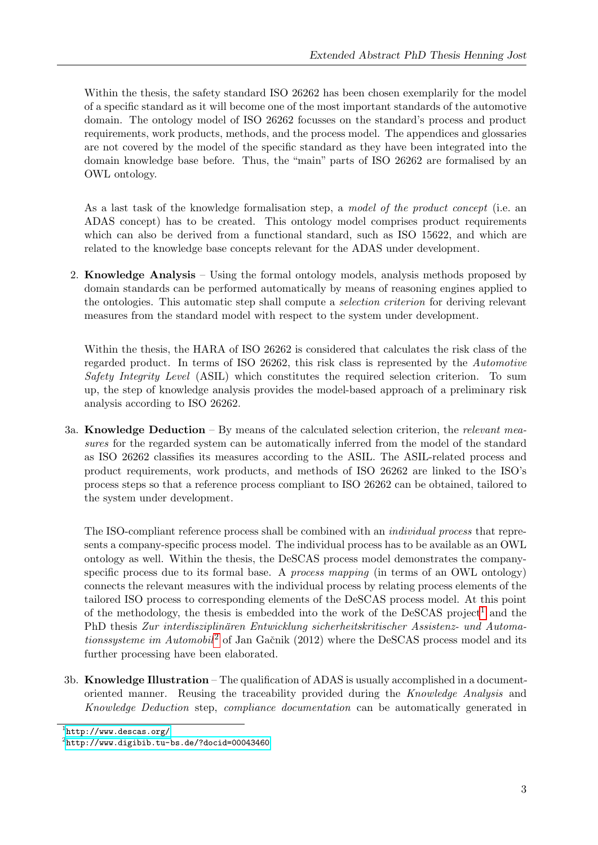Within the thesis, the safety standard ISO 26262 has been chosen exemplarily for the model of a specific standard as it will become one of the most important standards of the automotive domain. The ontology model of ISO 26262 focusses on the standard's process and product requirements, work products, methods, and the process model. The appendices and glossaries are not covered by the model of the specific standard as they have been integrated into the domain knowledge base before. Thus, the "main" parts of ISO 26262 are formalised by an OWL ontology.

As a last task of the knowledge formalisation step, a model of the product concept (i.e. an ADAS concept) has to be created. This ontology model comprises product requirements which can also be derived from a functional standard, such as ISO 15622, and which are related to the knowledge base concepts relevant for the ADAS under development.

2. Knowledge Analysis – Using the formal ontology models, analysis methods proposed by domain standards can be performed automatically by means of reasoning engines applied to the ontologies. This automatic step shall compute a selection criterion for deriving relevant measures from the standard model with respect to the system under development.

Within the thesis, the HARA of ISO 26262 is considered that calculates the risk class of the regarded product. In terms of ISO 26262, this risk class is represented by the Automotive Safety Integrity Level (ASIL) which constitutes the required selection criterion. To sum up, the step of knowledge analysis provides the model-based approach of a preliminary risk analysis according to ISO 26262.

3a. Knowledge Deduction – By means of the calculated selection criterion, the relevant measures for the regarded system can be automatically inferred from the model of the standard as ISO 26262 classifies its measures according to the ASIL. The ASIL-related process and product requirements, work products, and methods of ISO 26262 are linked to the ISO's process steps so that a reference process compliant to ISO 26262 can be obtained, tailored to the system under development.

The ISO-compliant reference process shall be combined with an individual process that represents a company-specific process model. The individual process has to be available as an OWL ontology as well. Within the thesis, the DeSCAS process model demonstrates the companyspecific process due to its formal base. A *process mapping* (in terms of an OWL ontology) connects the relevant measures with the individual process by relating process elements of the tailored ISO process to corresponding elements of the DeSCAS process model. At this point of the methodology, the thesis is embedded into the work of the DeSCAS project<sup>[1](#page-4-0)</sup> and the PhD thesis Zur interdisziplinären Entwicklung sicherheitskritischer Assistenz- und Automa-tionssysteme im Automobil<sup>[2](#page-4-1)</sup> of Jan Gačnik (2012) where the DeSCAS process model and its further processing have been elaborated.

3b. Knowledge Illustration – The qualification of ADAS is usually accomplished in a documentoriented manner. Reusing the traceability provided during the Knowledge Analysis and Knowledge Deduction step, compliance documentation can be automatically generated in

<span id="page-4-0"></span> $\frac{1}{1}$ <http://www.descas.org/>

<span id="page-4-1"></span> $^{2}$ <http://www.digibib.tu-bs.de/?docid=00043460>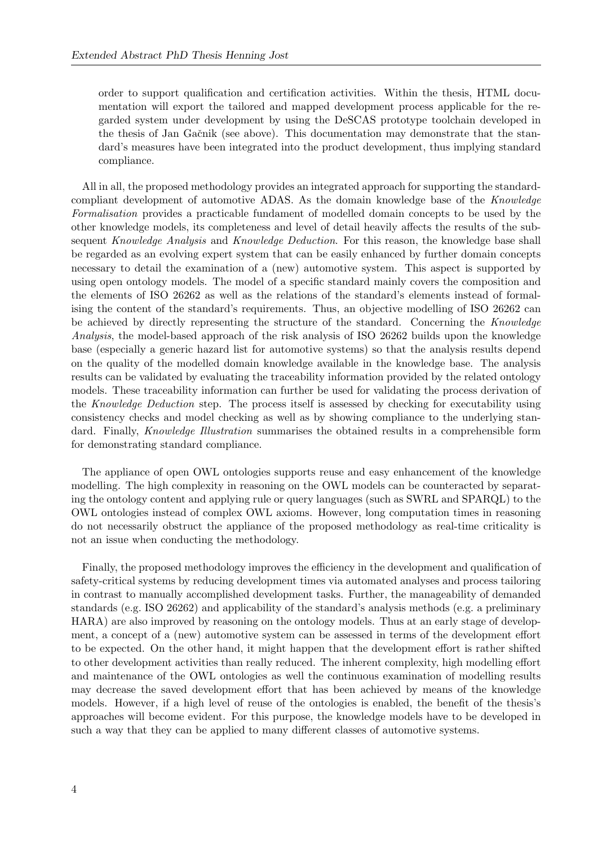order to support qualification and certification activities. Within the thesis, HTML documentation will export the tailored and mapped development process applicable for the regarded system under development by using the DeSCAS prototype toolchain developed in the thesis of Jan Gačnik (see above). This documentation may demonstrate that the standard's measures have been integrated into the product development, thus implying standard compliance.

All in all, the proposed methodology provides an integrated approach for supporting the standardcompliant development of automotive ADAS. As the domain knowledge base of the Knowledge Formalisation provides a practicable fundament of modelled domain concepts to be used by the other knowledge models, its completeness and level of detail heavily affects the results of the subsequent Knowledge Analysis and Knowledge Deduction. For this reason, the knowledge base shall be regarded as an evolving expert system that can be easily enhanced by further domain concepts necessary to detail the examination of a (new) automotive system. This aspect is supported by using open ontology models. The model of a specific standard mainly covers the composition and the elements of ISO 26262 as well as the relations of the standard's elements instead of formalising the content of the standard's requirements. Thus, an objective modelling of ISO 26262 can be achieved by directly representing the structure of the standard. Concerning the Knowledge Analysis, the model-based approach of the risk analysis of ISO 26262 builds upon the knowledge base (especially a generic hazard list for automotive systems) so that the analysis results depend on the quality of the modelled domain knowledge available in the knowledge base. The analysis results can be validated by evaluating the traceability information provided by the related ontology models. These traceability information can further be used for validating the process derivation of the Knowledge Deduction step. The process itself is assessed by checking for executability using consistency checks and model checking as well as by showing compliance to the underlying standard. Finally, *Knowledge Illustration* summarises the obtained results in a comprehensible form for demonstrating standard compliance.

The appliance of open OWL ontologies supports reuse and easy enhancement of the knowledge modelling. The high complexity in reasoning on the OWL models can be counteracted by separating the ontology content and applying rule or query languages (such as SWRL and SPARQL) to the OWL ontologies instead of complex OWL axioms. However, long computation times in reasoning do not necessarily obstruct the appliance of the proposed methodology as real-time criticality is not an issue when conducting the methodology.

Finally, the proposed methodology improves the efficiency in the development and qualification of safety-critical systems by reducing development times via automated analyses and process tailoring in contrast to manually accomplished development tasks. Further, the manageability of demanded standards (e.g. ISO 26262) and applicability of the standard's analysis methods (e.g. a preliminary HARA) are also improved by reasoning on the ontology models. Thus at an early stage of development, a concept of a (new) automotive system can be assessed in terms of the development effort to be expected. On the other hand, it might happen that the development effort is rather shifted to other development activities than really reduced. The inherent complexity, high modelling effort and maintenance of the OWL ontologies as well the continuous examination of modelling results may decrease the saved development effort that has been achieved by means of the knowledge models. However, if a high level of reuse of the ontologies is enabled, the benefit of the thesis's approaches will become evident. For this purpose, the knowledge models have to be developed in such a way that they can be applied to many different classes of automotive systems.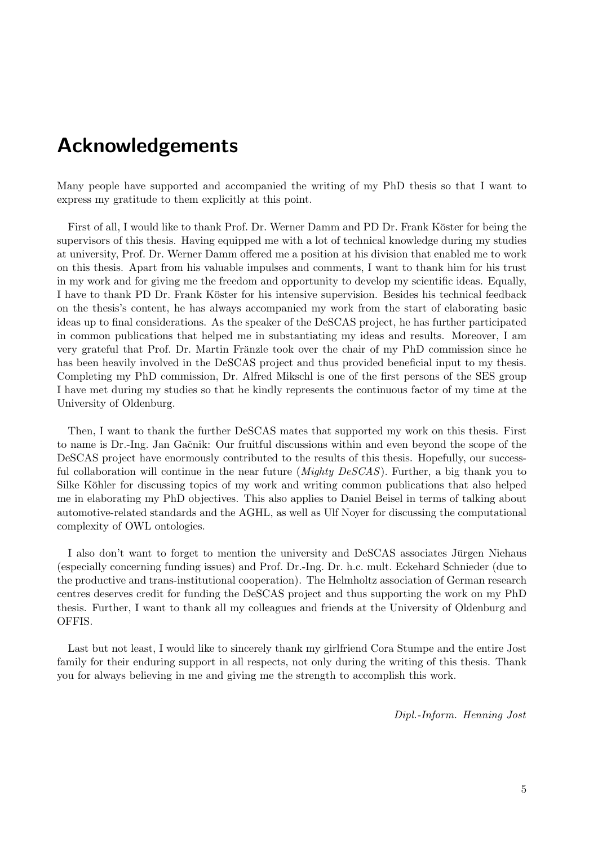# Acknowledgements

Many people have supported and accompanied the writing of my PhD thesis so that I want to express my gratitude to them explicitly at this point.

First of all, I would like to thank Prof. Dr. Werner Damm and PD Dr. Frank Köster for being the supervisors of this thesis. Having equipped me with a lot of technical knowledge during my studies at university, Prof. Dr. Werner Damm offered me a position at his division that enabled me to work on this thesis. Apart from his valuable impulses and comments, I want to thank him for his trust in my work and for giving me the freedom and opportunity to develop my scientific ideas. Equally, I have to thank PD Dr. Frank Köster for his intensive supervision. Besides his technical feedback on the thesis's content, he has always accompanied my work from the start of elaborating basic ideas up to final considerations. As the speaker of the DeSCAS project, he has further participated in common publications that helped me in substantiating my ideas and results. Moreover, I am very grateful that Prof. Dr. Martin Fränzle took over the chair of my PhD commission since he has been heavily involved in the DeSCAS project and thus provided beneficial input to my thesis. Completing my PhD commission, Dr. Alfred Mikschl is one of the first persons of the SES group I have met during my studies so that he kindly represents the continuous factor of my time at the University of Oldenburg.

Then, I want to thank the further DeSCAS mates that supported my work on this thesis. First to name is Dr.-Ing. Jan Gačnik: Our fruitful discussions within and even beyond the scope of the DeSCAS project have enormously contributed to the results of this thesis. Hopefully, our successful collaboration will continue in the near future *(Mighty DeSCAS)*. Further, a big thank you to Silke Köhler for discussing topics of my work and writing common publications that also helped me in elaborating my PhD objectives. This also applies to Daniel Beisel in terms of talking about automotive-related standards and the AGHL, as well as Ulf Noyer for discussing the computational complexity of OWL ontologies.

I also don't want to forget to mention the university and DeSCAS associates Jürgen Niehaus (especially concerning funding issues) and Prof. Dr.-Ing. Dr. h.c. mult. Eckehard Schnieder (due to the productive and trans-institutional cooperation). The Helmholtz association of German research centres deserves credit for funding the DeSCAS project and thus supporting the work on my PhD thesis. Further, I want to thank all my colleagues and friends at the University of Oldenburg and OFFIS.

Last but not least, I would like to sincerely thank my girlfriend Cora Stumpe and the entire Jost family for their enduring support in all respects, not only during the writing of this thesis. Thank you for always believing in me and giving me the strength to accomplish this work.

Dipl.-Inform. Henning Jost